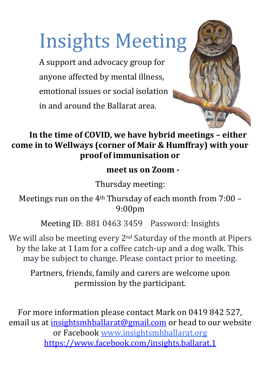# Insights Meeting

A support and advocacy group for anyone affected by mental illness, emotional issues or social isolation in and around the Ballarat area.



#### **In the time of COVID, we have hybrid meetings – either come in to Wellways (corner of Mair & Humffray) with your proof of immunisation or**

#### **meet us on Zoom -**

Thursday meeting:

Meetings run on the 4th Thursday of each month from 7:00 – 9:00pm

Meeting ID: 881 0463 3459 Password: Insights

We will also be meeting every 2<sup>nd</sup> Saturday of the month at Pipers by the lake at 11am for a coffee catch-up and a dog walk. This may be subject to change. Please contact prior to meeting.

Partners, friends, family and carers are welcome upon permission by the participant.

For more information please contact Mark on 0419 842 527, email us at [insightsmhballarat@gmail.com](mailto:insightsmhballarat@gmail.com) or head to our website or Facebook [www.insightsmhballarat.org](http://www.insightsmhballarat.org/) <https://www.facebook.com/insights.ballarat.1>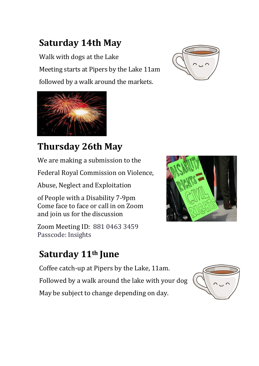# **Saturday 14th May**

Walk with dogs at the Lake Meeting starts at Pipers by the Lake 11am followed by a walk around the markets.



We are making a submission to the

Federal Royal Commission on Violence,

Abuse, Neglect and Exploitation

of People with a Disability 7-9pm Come face to face or call in on Zoom and join us for the discussion

Zoom Meeting ID: 881 0463 3459 Passcode: Insights

## **Saturday 11th June**

Coffee catch-up at Pipers by the Lake, 11am. Followed by a walk around the lake with your dog May be subject to change depending on day.